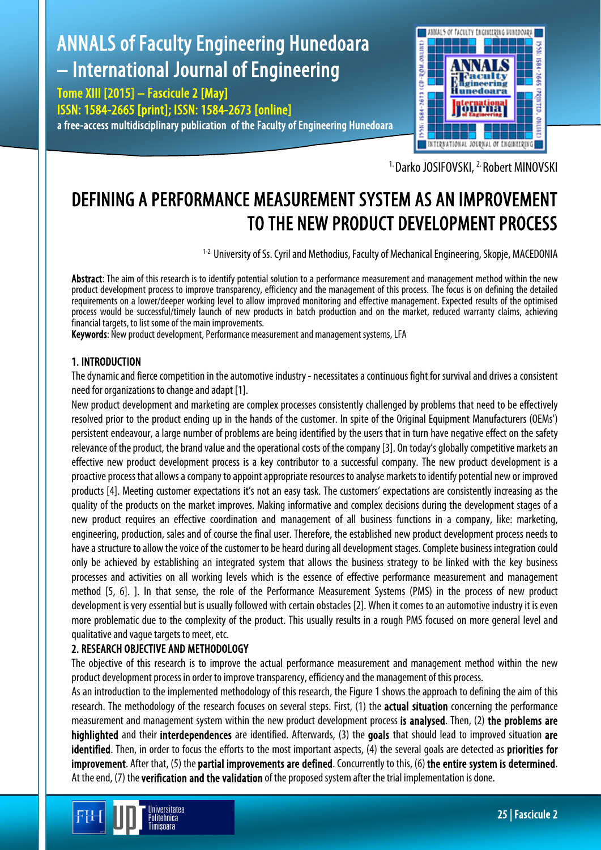# ANNALS of Faculty Engineering Hunedoara – International Journal of Engineering

Tome XIII [2015] – Fascicule 2 [May] ISSN: 1584-2665 [print]; ISSN: 1584-2673 [online] a free-access multidisciplinary publication of the Faculty of Engineering Hunedoara



<sup>1.</sup> Darko JOSIFOVSKI, <sup>2.</sup> Robert MINOVSKI

## DEFINING A PERFORMANCE MEASUREMENT SYSTEM AS AN IMPROVEMENT TO THE NEW PRODUCT DEVELOPMENT PROCESS

<sup>1-2.</sup> University of Ss. Cyril and Methodius, Faculty of Mechanical Engineering, Skopje, MACEDONIA

Abstract: The aim of this research is to identify potential solution to a performance measurement and management method within the new product development process to improve transparency, efficiency and the management of this process. The focus is on defining the detailed requirements on a lower/deeper working level to allow improved monitoring and effective management. Expected results of the optimised process would be successful/timely launch of new products in batch production and on the market, reduced warranty claims, achieving financial targets, to list some of the main improvements.

Keywords: New product development, Performance measurement and management systems, LFA

### 1. INTRODUCTION

The dynamic and fierce competition in the automotive industry - necessitates a continuous fight for survival and drives a consistent need for organizations to change and adapt [1].

New product development and marketing are complex processes consistently challenged by problems that need to be effectively resolved prior to the product ending up in the hands of the customer. In spite of the Original Equipment Manufacturers (OEMs') persistent endeavour, a large number of problems are being identified by the users that in turn have negative effect on the safety relevance of the product, the brand value and the operational costs of the company [3]. On today's globally competitive markets an effective new product development process is a key contributor to a successful company. The new product development is a proactive process that allows a company to appoint appropriate resources to analyse markets to identify potential new or improved products [4]. Meeting customer expectations it's not an easy task. The customers' expectations are consistently increasing as the quality of the products on the market improves. Making informative and complex decisions during the development stages of a new product requires an effective coordination and management of all business functions in a company, like: marketing, engineering, production, sales and of course the final user. Therefore, the established new product development process needs to have a structure to allow the voice of the customer to be heard during all development stages. Complete business integration could only be achieved by establishing an integrated system that allows the business strategy to be linked with the key business processes and activities on all working levels which is the essence of effective performance measurement and management method [5, 6]. ]. In that sense, the role of the Performance Measurement Systems (PMS) in the process of new product development is very essential but is usually followed with certain obstacles [2]. When it comes to an automotive industry it is even more problematic due to the complexity of the product. This usually results in a rough PMS focused on more general level and qualitative and vague targets to meet, etc.

### 2. RESEARCH OBJECTIVE AND METHODOLOGY

The objective of this research is to improve the actual performance measurement and management method within the new product development process in order to improve transparency, efficiency and the management of this process.

As an introduction to the implemented methodology of this research, the Figure 1 shows the approach to defining the aim of this research. The methodology of the research focuses on several steps. First, (1) the **actual situation** concerning the performance measurement and management system within the new product development process is analysed. Then, (2) the problems are highlighted and their interdependences are identified. Afterwards, (3) the goals that should lead to improved situation are identified. Then, in order to focus the efforts to the most important aspects, (4) the several goals are detected as priorities for improvement. After that, (5) the partial improvements are defined. Concurrently to this, (6) the entire system is determined. At the end, (7) the verification and the validation of the proposed system after the trial implementation is done.

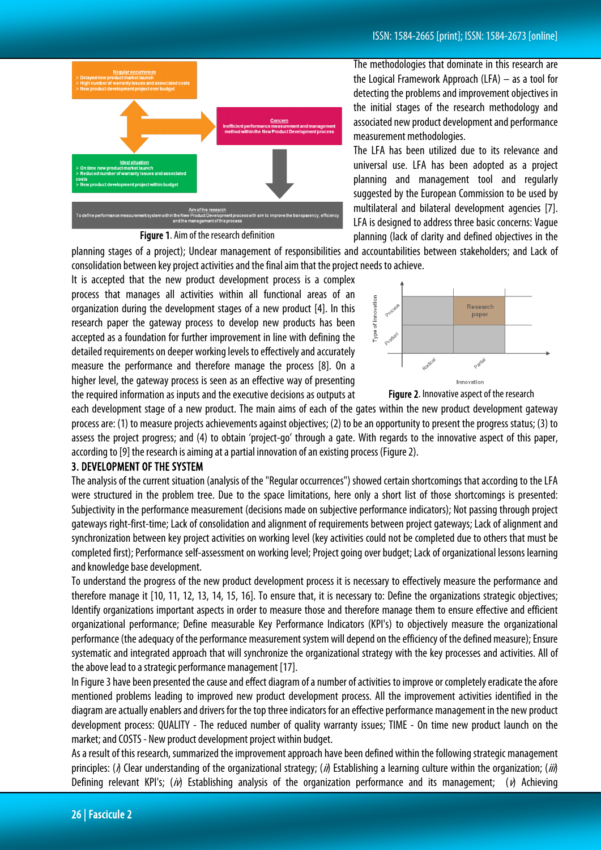

Figure 1. Aim of the research definition

The methodologies that dominate in this research are the Logical Framework Approach (LFA) – as a tool for detecting the problems and improvement objectives in the initial stages of the research methodology and associated new product development and performance measurement methodologies.

The LFA has been utilized due to its relevance and universal use. LFA has been adopted as a project planning and management tool and regularly suggested by the European Commission to be used by multilateral and bilateral development agencies [7]. LFA is designed to address three basic concerns: Vague planning (lack of clarity and defined objectives in the

planning stages of a project); Unclear management of responsibilities and accountabilities between stakeholders; and Lack of consolidation between key project activities and the final aim that the project needs to achieve.

It is accepted that the new product development process is a complex process that manages all activities within all functional areas of an organization during the development stages of a new product [4]. In this research paper the gateway process to develop new products has been accepted as a foundation for further improvement in line with defining the detailed requirements on deeper working levels to effectively and accurately measure the performance and therefore manage the process [8]. On a higher level, the gateway process is seen as an effective way of presenting the required information as inputs and the executive decisions as outputs at





each development stage of a new product. The main aims of each of the gates within the new product development gateway process are: (1) to measure projects achievements against objectives; (2) to be an opportunity to present the progress status; (3) to assess the project progress; and (4) to obtain 'project-go' through a gate. With regards to the innovative aspect of this paper, according to [9] the research is aiming at a partial innovation of an existing process (Figure 2).

#### 3. DEVELOPMENT OF THE SYSTEM

The analysis of the current situation (analysis of the "Regular occurrences") showed certain shortcomings that according to the LFA were structured in the problem tree. Due to the space limitations, here only a short list of those shortcomings is presented: Subjectivity in the performance measurement (decisions made on subjective performance indicators); Not passing through project gateways right-first-time; Lack of consolidation and alignment of requirements between project gateways; Lack of alignment and synchronization between key project activities on working level (key activities could not be completed due to others that must be completed first); Performance self-assessment on working level; Project going over budget; Lack of organizational lessons learning and knowledge base development.

To understand the progress of the new product development process it is necessary to effectively measure the performance and therefore manage it [10, 11, 12, 13, 14, 15, 16]. To ensure that, it is necessary to: Define the organizations strategic objectives; Identify organizations important aspects in order to measure those and therefore manage them to ensure effective and efficient organizational performance; Define measurable Key Performance Indicators (KPI's) to objectively measure the organizational performance (the adequacy of the performance measurement system will depend on the efficiency of the defined measure); Ensure systematic and integrated approach that will synchronize the organizational strategy with the key processes and activities. All of the above lead to a strategic performance management [17].

In Figure 3 have been presented the cause and effect diagram of a number of activities to improve or completely eradicate the afore mentioned problems leading to improved new product development process. All the improvement activities identified in the diagram are actually enablers and drivers for the top three indicators for an effective performance management in the new product development process: QUALITY - The reduced number of quality warranty issues; TIME - On time new product launch on the market; and COSTS - New product development project within budget.

As a result of this research, summarized the improvement approach have been defined within the following strategic management principles: ( $\delta$ ) Clear understanding of the organizational strategy; ( $\dot{\theta}$ ) Establishing a learning culture within the organization; ( $\dot{\theta}$ ) Defining relevant KPI's; (ii) Establishing analysis of the organization performance and its management; (ii) Achieving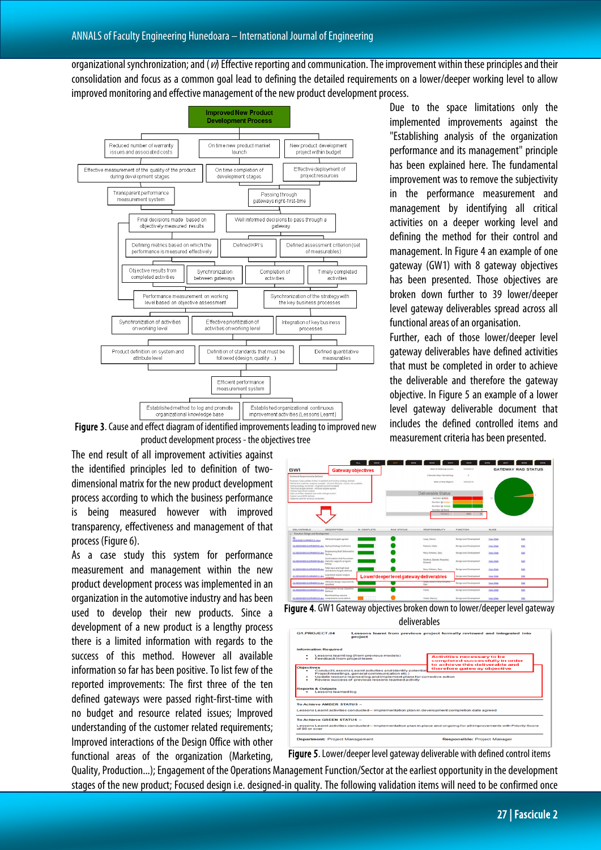organizational synchronization; and  $(v)$  Effective reporting and communication. The improvement within these principles and their consolidation and focus as a common goal lead to defining the detailed requirements on a lower/deeper working level to allow improved monitoring and effective management of the new product development process.



Due to the space limitations only the implemented improvements against the "Establishing analysis of the organization performance and its management" principle has been explained here. The fundamental improvement was to remove the subjectivity in the performance measurement and management by identifying all critical activities on a deeper working level and defining the method for their control and management. In Figure 4 an example of one gateway (GW1) with 8 gateway objectives has been presented. Those objectives are broken down further to 39 lower/deeper level gateway deliverables spread across all functional areas of an organisation.

Further, each of those lower/deeper level gateway deliverables have defined activities that must be completed in order to achieve the deliverable and therefore the gateway objective. In Figure 5 an example of a lower level gateway deliverable document that includes the defined controlled items and measurement criteria has been presented.

Figure 3. Cause and effect diagram of identified improvements leading to improved new product development process - the objectives tree

The end result of all improvement activities against the identified principles led to definition of twodimensional matrix for the new product development process according to which the business performance is being measured however with improved transparency, effectiveness and management of that process (Figure 6).

As a case study this system for performance measurement and management within the new product development process was implemented in an organization in the automotive industry and has been used to develop their new products. Since a development of a new product is a lengthy process there is a limited information with regards to the success of this method. However all available information so far has been positive. To list few of the reported improvements: The first three of the ten defined gateways were passed right-first-time with no budget and resource related issues; Improved understanding of the customer related requirements; Improved interactions of the Design Office with other functional areas of the organization (Marketing,

| <b>GW1</b>                                                                                                                                                 | <b>Gateway objectives</b>                                                                                                                                       |            |                     | Date of Gateway event:                  | 12/09/2013             |                   | <b>GATEWAY RAG STATUS</b> |
|------------------------------------------------------------------------------------------------------------------------------------------------------------|-----------------------------------------------------------------------------------------------------------------------------------------------------------------|------------|---------------------|-----------------------------------------|------------------------|-------------------|---------------------------|
| <b>Technical Requirements Defined</b>                                                                                                                      |                                                                                                                                                                 |            |                     | Calendar Days Remaining:                | $\circ$                |                   |                           |
| . Styling strategy confirmed - Engineering Brief available.<br>. Technical tercets defined - Attribute terpets agreed                                      | . Business Case justifies further investment and funding strategy defined.<br>. Market and customer analysis complete - Product Mecycle, volume, mix available. |            |                     | Date of this Report:                    | 1903/2014              |                   |                           |
| . Vehicle Spec Book created.<br>. High Level Plan released and under change control.<br>· System Level BOM defined<br>. Leasons Learned reviews conducted. |                                                                                                                                                                 |            |                     | Deliverable Status                      |                        |                   |                           |
|                                                                                                                                                            |                                                                                                                                                                 |            | <b>Number Q Red</b> |                                         |                        |                   |                           |
|                                                                                                                                                            |                                                                                                                                                                 |            |                     | <b>Number Q Amber</b>                   |                        |                   |                           |
|                                                                                                                                                            |                                                                                                                                                                 |            |                     | Number @ Green<br>Number @ Blank        |                        |                   |                           |
|                                                                                                                                                            |                                                                                                                                                                 |            |                     | <b>TOTALS</b>                           | soon.                  |                   |                           |
|                                                                                                                                                            |                                                                                                                                                                 |            |                     |                                         |                        |                   |                           |
|                                                                                                                                                            |                                                                                                                                                                 |            |                     |                                         |                        |                   |                           |
|                                                                                                                                                            |                                                                                                                                                                 |            |                     |                                         |                        |                   |                           |
| DELIVERABLE                                                                                                                                                | DESCRIPTION                                                                                                                                                     | % COMPLETE | RAG STATUS          | RESPONSIBILITY                          | <b>FUNCTION</b>        | SLIDE             |                           |
| Function: Design and Development                                                                                                                           |                                                                                                                                                                 |            |                     |                                         |                        |                   |                           |
|                                                                                                                                                            | Attribute targets agreed                                                                                                                                        |            |                     | Lacey, Simon;                           | Design and Development | <b>View Slide</b> | tat                       |
| DESIGNDEVLOPMENT 21.docx<br>GLDESIGNDEVELOPMENT.01.doc Styling Strategy Confirmed                                                                          |                                                                                                                                                                 |            |                     | Roberts, Mark;                          | Design and Development | View Stide        | <b>Edit</b>               |
| GL DESIGNDEVELOPMENT.02.doc                                                                                                                                | Engineering Brief Delivered to<br>Shring <sub></sub>                                                                                                            |            |                     | Parry-Williams, Dan:                    | Design and Development | View Slide        | <b>Edit</b>               |
| GLDESISHDEVELOPMENT.06.doc maturity supports program                                                                                                       | Confirmation that Powertrain<br>timing                                                                                                                          |            |                     | Montosi, Davide; Farquihar,<br>Richard: | Design and Development | View Stide        | <b>Lost</b>               |
| GLDESISHDEVELOPMENT.09.doc                                                                                                                                 | Total mass and high level<br>distribution targets defined                                                                                                       |            |                     | Pany-Williams, Danc                     | Design and Development | View Slide        | Edit                      |
| GLDESISHDEVELOPMENT.11.doc                                                                                                                                 | Legislative impact analysis<br>complete                                                                                                                         |            |                     | Lower/deeperlevel gateway deliverables  | Design and Development | View Stide        | <b>Lost</b>               |
| GLDESIGNOEVELOPMENT.13.doc                                                                                                                                 | Attribute design requirements<br>specified                                                                                                                      |            |                     | <b>BANKARY</b><br>Dann                  | Design and Development | View Stide        | tas                       |
| GLDESIGNDEVELOPMENT.15.doc                                                                                                                                 | All Function Group Objectives<br>Defined                                                                                                                        |            |                     | FGMs:                                   | Design and Development | View Stide        | ten                       |

Figure 4. GW1 Gateway objectives broken down to lower/deeper level gateway deliverables

| G1.PROJECT.04<br>project                                                                                                                                           |                                                                                                                             | Lessons learnt from previous project formally reviewed and integrated into                                              |  |  |
|--------------------------------------------------------------------------------------------------------------------------------------------------------------------|-----------------------------------------------------------------------------------------------------------------------------|-------------------------------------------------------------------------------------------------------------------------|--|--|
| <b>Information Required</b>                                                                                                                                        |                                                                                                                             |                                                                                                                         |  |  |
| Lessons learnt log (from previous models)<br>Feedback from project team<br>۰                                                                                       |                                                                                                                             | <b>Activities necessary to be</b><br>completed successfully in order<br>to achieve this deliverable and                 |  |  |
| <b>Objectives</b><br>Conduct Lessons Learnt activities and identify potential<br>۰                                                                                 |                                                                                                                             | therefore gateway objective                                                                                             |  |  |
| Project meetings, general communication etc.)<br>۰<br>$\overline{\phantom{0}}$<br><b>Reports &amp; Outputs</b><br>Lessons learned log<br>To Achieve AMRER STATUS - | Update lessons learned log and implement plans for corrective action<br>Review success of previous lessons learned activity |                                                                                                                         |  |  |
|                                                                                                                                                                    |                                                                                                                             | Lessons Learnt activities conducted - implementation plan in development completion date agreed                         |  |  |
|                                                                                                                                                                    |                                                                                                                             |                                                                                                                         |  |  |
| To Achieve GREEN STATUS -                                                                                                                                          |                                                                                                                             |                                                                                                                         |  |  |
| of 80 or over                                                                                                                                                      |                                                                                                                             | Lessons Learnt activities conducted - Implementation plan in place and ongoing for all improvements with Priority Score |  |  |
|                                                                                                                                                                    | <b>Department: Project Management</b>                                                                                       |                                                                                                                         |  |  |

Figure 5. Lower/deeper level gateway deliverable with defined control items

Quality, Production...); Engagement of the Operations Management Function/Sector at the earliest opportunity in the development stages of the new product; Focused design i.e. designed-in quality. The following validation items will need to be confirmed once